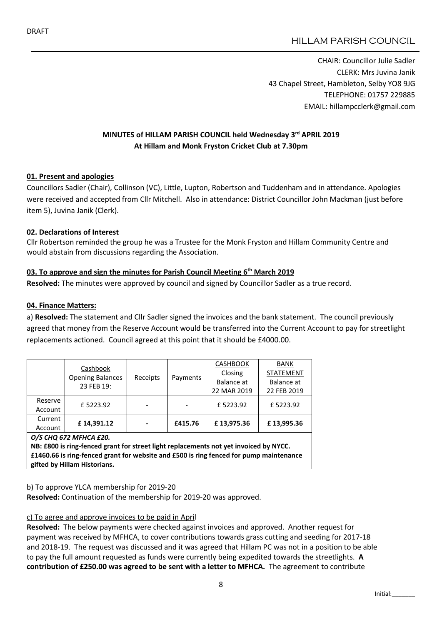CHAIR: Councillor Julie Sadler CLERK: Mrs Juvina Janik 43 Chapel Street, Hambleton, Selby YO8 9JG TELEPHONE: 01757 229885 EMAIL: hillampcclerk@gmail.com

# MINUTES of HILLAM PARISH COUNCIL held Wednesday 3rd APRIL 2019 At Hillam and Monk Fryston Cricket Club at 7.30pm

## 01. Present and apologies

Councillors Sadler (Chair), Collinson (VC), Little, Lupton, Robertson and Tuddenham and in attendance. Apologies were received and accepted from Cllr Mitchell. Also in attendance: District Councillor John Mackman (just before item 5), Juvina Janik (Clerk).

## 02. Declarations of Interest

Cllr Robertson reminded the group he was a Trustee for the Monk Fryston and Hillam Community Centre and would abstain from discussions regarding the Association.

# 03. To approve and sign the minutes for Parish Council Meeting  $6<sup>th</sup>$  March 2019

Resolved: The minutes were approved by council and signed by Councillor Sadler as a true record.

## 04. Finance Matters:

a) Resolved: The statement and Cllr Sadler signed the invoices and the bank statement. The council previously agreed that money from the Reserve Account would be transferred into the Current Account to pay for streetlight replacements actioned. Council agreed at this point that it should be £4000.00.

|         | Cashbook<br><b>Opening Balances</b><br>23 FEB 19: | Receipts | Payments | <b>CASHBOOK</b> | <b>BANK</b>      |
|---------|---------------------------------------------------|----------|----------|-----------------|------------------|
|         |                                                   |          |          | Closing         | <b>STATEMENT</b> |
|         |                                                   |          |          | Balance at      | Balance at       |
|         |                                                   |          |          | 22 MAR 2019     | 22 FEB 2019      |
| Reserve | £5223.92                                          |          |          | £5223.92        | £5223.92         |
| Account |                                                   |          |          |                 |                  |
| Current | £14,391.12                                        | -        | £415.76  | £13,975.36      | £13,995.36       |
| Account |                                                   |          |          |                 |                  |

*O/S CHQ 672 MFHCA £20.* NB: £800 is ring-fenced grant for street light replacements not yet invoiced by NYCC. £1460.66 is ring-fenced grant for website and £500 is ring fenced for pump maintenance gifted by Hillam Historians.

## b) To approve YLCA membership for 2019-20

Resolved: Continuation of the membership for 2019-20 was approved.

## c) To agree and approve invoices to be paid in April

Resolved: The below payments were checked against invoices and approved. Another request for payment was received by MFHCA, to cover contributions towards grass cutting and seeding for 2017-18 and 2018-19. The request was discussed and it was agreed that Hillam PC was not in a position to be able to pay the full amount requested as funds were currently being expedited towards the streetlights. A contribution of £250.00 was agreed to be sent with a letter to MFHCA. The agreement to contribute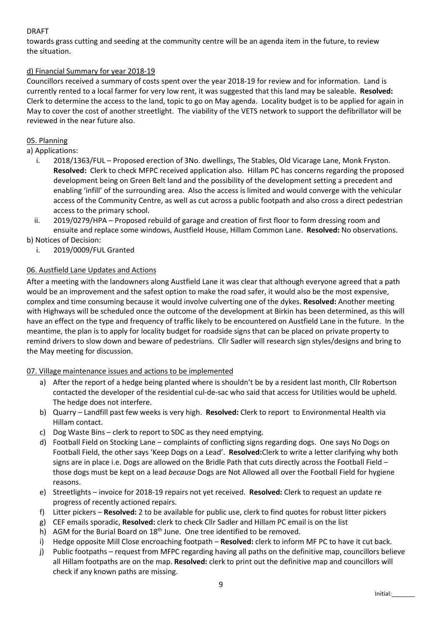## DRAFT

towards grass cutting and seeding at the community centre will be an agenda item in the future, to review the situation.

## d) Financial Summary for year 2018-19

Councillors received a summary of costs spent over the year 2018-19 for review and for information. Land is currently rented to a local farmer for very low rent, it was suggested that this land may be saleable. Resolved: Clerk to determine the access to the land, topic to go on May agenda. Locality budget is to be applied for again in May to cover the cost of another streetlight. The viability of the VETS network to support the defibrillator will be reviewed in the near future also.

## 05. Planning

a) Applications:

- i. 2018/1363/FUL Proposed erection of 3No. dwellings, The Stables, Old Vicarage Lane, Monk Fryston. Resolved: Clerk to check MFPC received application also. Hillam PC has concerns regarding the proposed development being on Green Belt land and the possibility of the development setting a precedent and enabling 'infill' of the surrounding area. Also the access is limited and would converge with the vehicular access of the Community Centre, as well as cut across a public footpath and also cross a direct pedestrian access to the primary school.
- ii. 2019/0279/HPA Proposed rebuild of garage and creation of first floor to form dressing room and ensuite and replace some windows, Austfield House, Hillam Common Lane. Resolved: No observations.

b) Notices of Decision:

i. 2019/0009/FUL Granted

## 06. Austfield Lane Updates and Actions

After a meeting with the landowners along Austfield Lane it was clear that although everyone agreed that a path would be an improvement and the safest option to make the road safer, it would also be the most expensive, complex and time consuming because it would involve culverting one of the dykes. Resolved: Another meeting with Highways will be scheduled once the outcome of the development at Birkin has been determined, as this will have an effect on the type and frequency of traffic likely to be encountered on Austfield Lane in the future. In the meantime, the plan is to apply for locality budget for roadside signs that can be placed on private property to remind drivers to slow down and beware of pedestrians. Cllr Sadler will research sign styles/designs and bring to the May meeting for discussion.

## 07. Village maintenance issues and actions to be implemented

- a) After the report of a hedge being planted where is shouldn't be by a resident last month, Cllr Robertson contacted the developer of the residential cul-de-sac who said that access for Utilities would be upheld. The hedge does not interfere.
- b) Quarry Landfill past few weeks is very high. Resolved: Clerk to report to Environmental Health via Hillam contact.
- c) Dog Waste Bins clerk to report to SDC as they need emptying.
- d) Football Field on Stocking Lane complaints of conflicting signs regarding dogs. One says No Dogs on Football Field, the other says 'Keep Dogs on a Lead'. Resolved:Clerk to write a letter clarifying why both signs are in place i.e. Dogs are allowed on the Bridle Path that cuts directly across the Football Field – those dogs must be kept on a lead *because* Dogs are Not Allowed all over the Football Field for hygiene reasons.
- e) Streetlights invoice for 2018-19 repairs not yet received. Resolved: Clerk to request an update re progress of recently actioned repairs.
- f) Litter pickers Resolved: 2 to be available for public use, clerk to find quotes for robust litter pickers
- g) CEF emails sporadic, Resolved: clerk to check Cllr Sadler and Hillam PC email is on the list
- h) AGM for the Burial Board on  $18<sup>th</sup>$  June. One tree identified to be removed.
- i) Hedge opposite Mill Close encroaching footpath Resolved: clerk to inform MF PC to have it cut back.
- j) Public footpaths request from MFPC regarding having all paths on the definitive map, councillors believe all Hillam footpaths are on the map. Resolved: clerk to print out the definitive map and councillors will check if any known paths are missing.